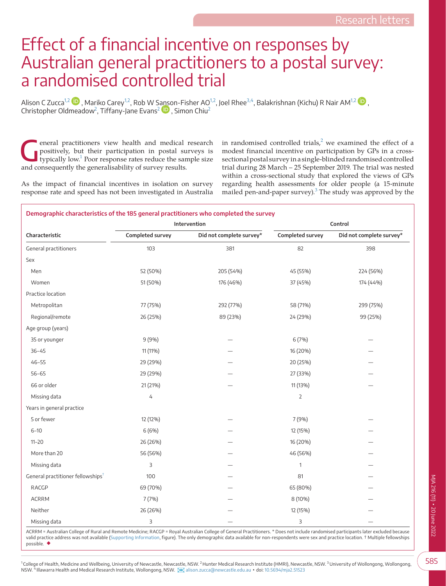## Effect of a financial incentive on responses by Australian general practitioners to a postal survey: a randomised controlled trial

Alison C Zucca<sup>[1,2](#page-0-0)</sup>  $\bullet$ [,](https://orcid.org/0000-0002-9100-4298) Mariko Carey<sup>1,2</sup>, Rob W S[anso](https://orcid.org/0000-0001-7525-461X)n-Fisher AO<sup>1,2</sup>, Joel Rhee<sup>3,4</sup>, Balakrishnan (Kichu) R Nair AM<sup>1,2</sup>  $\bullet$ , Christopher Oldmeadow<sup>[2](#page-0-2)</sup>, Tiffany-Jane Evans $^2$   $\blacksquare$  , Simon Chiu $^2$ 

eneral practitioners view health and medical research positively, but their participation in postal surveys is typically low.<sup>1</sup> Poor response rates reduce the sample size positively, but their participation in postal surveys is and consequently the generalisability of survey results.

in randomised controlled trials,<sup>[2](#page-1-1)</sup> we examined the effect of a modest financial incentive on participation by GPs in a crosssectional postal survey in a single-blinded randomised controlled trial during 28 March – 25 September 2019. The trial was nested within a cross-sectional study that explored the views of GPs regarding health assessments for older people (a 15-minute mailed pen-and-paper survey). $3$  The study was approved by the

As the impact of financial incentives in isolation on survey response rate and speed has not been investigated in Australia

<span id="page-0-4"></span>

| Demographic characteristics of the 185 general practitioners who completed the survey |                  |                          |                  |                          |
|---------------------------------------------------------------------------------------|------------------|--------------------------|------------------|--------------------------|
|                                                                                       | Intervention     |                          | Control          |                          |
| Characteristic                                                                        | Completed survey | Did not complete survey* | Completed survey | Did not complete survey* |
| General practitioners                                                                 | 103              | 381                      | 82               | 398                      |
| Sex                                                                                   |                  |                          |                  |                          |
| Men                                                                                   | 52 (50%)         | 205 (54%)                | 45 (55%)         | 224 (56%)                |
| Women                                                                                 | 51 (50%)         | 176 (46%)                | 37 (45%)         | 174 (44%)                |
| Practice location                                                                     |                  |                          |                  |                          |
| Metropolitan                                                                          | 77 (75%)         | 292 (77%)                | 58 (71%)         | 299 (75%)                |
| Regional/remote                                                                       | 26 (25%)         | 89 (23%)                 | 24 (29%)         | 99 (25%)                 |
| Age group (years)                                                                     |                  |                          |                  |                          |
| 35 or younger                                                                         | 9(9%)            |                          | 6 (7%)           |                          |
| $36 - 45$                                                                             | 11 (11%)         |                          | 16 (20%)         |                          |
| $46 - 55$                                                                             | 29 (29%)         |                          | 20 (25%)         |                          |
| $56 - 65$                                                                             | 29 (29%)         |                          | 27 (33%)         |                          |
| 66 or older                                                                           | 21 (21%)         |                          | 11 (13%)         |                          |
| Missing data                                                                          | 4                |                          | $\overline{2}$   |                          |
| Years in general practice                                                             |                  |                          |                  |                          |
| 5 or fewer                                                                            | 12 (12%)         |                          | 7 (9%)           |                          |
| $6 - 10$                                                                              | 6 (6%)           |                          | 12 (15%)         |                          |
| $11 - 20$                                                                             | 26 (26%)         |                          | 16 (20%)         |                          |
| More than 20                                                                          | 56 (56%)         |                          | 46 (56%)         |                          |
| Missing data                                                                          | 3                |                          | 1                |                          |
| General practitioner fellowships <sup>+</sup>                                         | 100              |                          | 81               |                          |
| RACGP                                                                                 | 69 (70%)         |                          | 65 (80%)         |                          |
| <b>ACRRM</b>                                                                          | 7(7%)            |                          | 8 (10%)          |                          |
| Neither                                                                               | 26 (26%)         |                          | 12 (15%)         |                          |
| Missing data                                                                          | 3                |                          | 3                |                          |

<span id="page-0-3"></span><span id="page-0-2"></span><span id="page-0-1"></span><span id="page-0-0"></span>ACRRM = Australian College of Rural and Remote Medicine; RACGP = Royal Australian College of General Practitioners. \* Does not include randomised participants later excluded because valid practice address was not available ([Supporting Information](#page-1-3), figure). The only demographic data available for non-respondents were sex and practice location. † Multiple fellowships possible. ◆